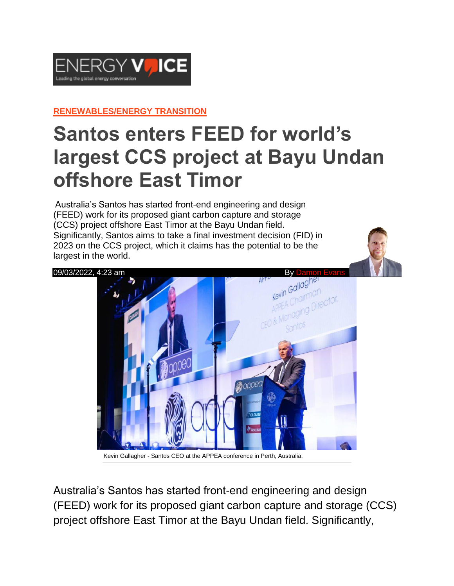

**[RENEWABLES/ENERGY](https://www.energyvoice.com/category/renewables-energy-transition/) TRANSITION**

## **Santos enters FEED for world's largest CCS project at Bayu Undan offshore East Timor**

Australia's Santos has started front-end engineering and design (FEED) work for its proposed giant carbon capture and storage (CCS) project offshore East Timor at the Bayu Undan field. Significantly, Santos aims to take a final investment decision (FID) in 2023 on the CCS project, which it claims has the potential to be the largest in the world.



Kevin Gallagher - Santos CEO at the APPEA conference in Perth, Australia.

Australia's Santos has started front-end engineering and design (FEED) work for its proposed giant carbon capture and storage (CCS) project offshore East Timor at the Bayu Undan field. Significantly,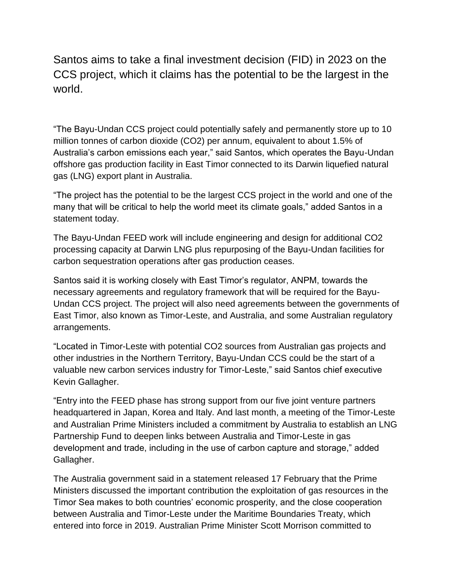Santos aims to take a final investment decision (FID) in 2023 on the CCS project, which it claims has the potential to be the largest in the world.

"The Bayu-Undan CCS project could potentially safely and permanently store up to 10 million tonnes of carbon dioxide (CO2) per annum, equivalent to about 1.5% of Australia's carbon emissions each year," said Santos, which operates the Bayu-Undan offshore gas production facility in East Timor connected to its Darwin liquefied natural gas (LNG) export plant in Australia.

"The project has the potential to be the largest CCS project in the world and one of the many that will be critical to help the world meet its climate goals," added Santos in a statement today.

The Bayu-Undan FEED work will include engineering and design for additional CO2 processing capacity at Darwin LNG plus repurposing of the Bayu-Undan facilities for carbon sequestration operations after gas production ceases.

Santos said it is working closely with East Timor's regulator, ANPM, towards the necessary agreements and regulatory framework that will be required for the Bayu-Undan CCS project. The project will also need agreements between the governments of East Timor, also known as Timor-Leste, and Australia, and some Australian regulatory arrangements.

"Located in Timor-Leste with potential CO2 sources from Australian gas projects and other industries in the Northern Territory, Bayu-Undan CCS could be the start of a valuable new carbon services industry for Timor-Leste," said Santos chief executive Kevin Gallagher.

"Entry into the FEED phase has strong support from our five joint venture partners headquartered in Japan, Korea and Italy. And last month, a meeting of the Timor-Leste and Australian Prime Ministers included a commitment by Australia to establish an LNG Partnership Fund to deepen links between Australia and Timor-Leste in gas development and trade, including in the use of carbon capture and storage," added Gallagher.

The Australia government said in a statement released 17 February that the Prime Ministers discussed the important contribution the exploitation of gas resources in the Timor Sea makes to both countries' economic prosperity, and the close cooperation between Australia and Timor-Leste under the Maritime Boundaries Treaty, which entered into force in 2019. Australian Prime Minister Scott Morrison committed to